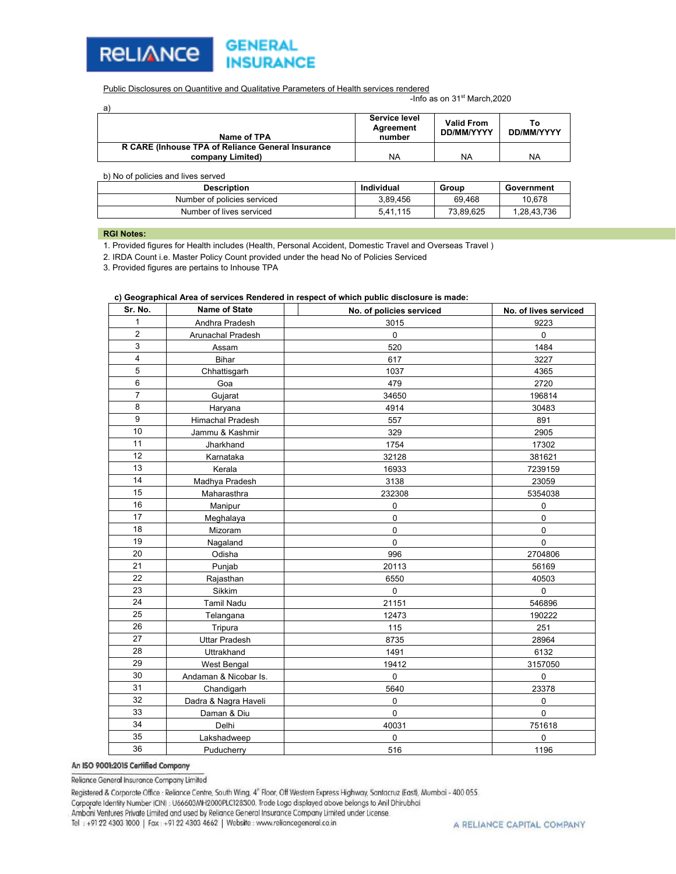

Public Disclosures on Quantitive and Qualitative Parameters of Health services rendered

-Info as on 31<sup>st</sup> March, 2020

| a                                                 |                                      |                                 |                         |
|---------------------------------------------------|--------------------------------------|---------------------------------|-------------------------|
| Name of TPA                                       | Service level<br>Agreement<br>number | <b>Valid From</b><br>DD/MM/YYYY | Т٥<br><b>DD/MM/YYYY</b> |
| R CARE (Inhouse TPA of Reliance General Insurance |                                      |                                 |                         |
| company Limited)                                  | NA                                   | NA                              | NA                      |

| b) No of policies and lives served |            |           |             |  |  |  |
|------------------------------------|------------|-----------|-------------|--|--|--|
| <b>Description</b>                 | Individual | Group     | Government  |  |  |  |
| Number of policies serviced        | 3.89.456   | 69.468    | 10.678      |  |  |  |
| Number of lives serviced           | 5.41.115   | 73.89.625 | 1.28.43.736 |  |  |  |
|                                    |            |           |             |  |  |  |

#### **RGI Notes:**

1. Provided figures for Health includes (Health, Personal Accident, Domestic Travel and Overseas Travel )

2. IRDA Count i.e. Master Policy Count provided under the head No of Policies Serviced

3. Provided figures are pertains to Inhouse TPA

#### **c) Geographical Area of services Rendered in respect of which public disclosure is made:**

| Sr. No.                 | <b>Name of State</b>  | No. of policies serviced | No. of lives serviced |
|-------------------------|-----------------------|--------------------------|-----------------------|
| 1                       | Andhra Pradesh        | 3015                     | 9223                  |
| $\overline{\mathbf{c}}$ | Arunachal Pradesh     | $\mathbf 0$              | $\mathbf 0$           |
| 3                       | Assam                 | 520                      | 1484                  |
| 4                       | Bihar                 | 617                      | 3227                  |
| 5                       | Chhattisgarh          | 1037                     | 4365                  |
| 6                       | Goa                   | 479                      | 2720                  |
| $\overline{7}$          | Gujarat               | 34650                    | 196814                |
| 8                       | Haryana               | 4914                     | 30483                 |
| 9                       | Himachal Pradesh      | 557                      | 891                   |
| 10                      | Jammu & Kashmir       | 329                      | 2905                  |
| 11                      | Jharkhand             | 1754                     | 17302                 |
| 12                      | Karnataka             | 32128                    | 381621                |
| 13                      | Kerala                | 16933                    | 7239159               |
| 14                      | Madhya Pradesh        | 3138                     | 23059                 |
| 15                      | Maharasthra           | 232308                   | 5354038               |
| 16                      | Manipur               | $\pmb{0}$                | $\pmb{0}$             |
| 17                      | Meghalaya             | $\pmb{0}$                | $\mathbf 0$           |
| 18                      | Mizoram               | $\pmb{0}$                | $\pmb{0}$             |
| 19                      | Nagaland              | $\mathbf 0$              | $\mathbf 0$           |
| 20                      | Odisha                | 996                      | 2704806               |
| 21                      | Punjab                | 20113                    | 56169                 |
| 22                      | Rajasthan             | 6550                     | 40503                 |
| 23                      | Sikkim                | $\pmb{0}$                | 0                     |
| 24                      | <b>Tamil Nadu</b>     | 21151                    | 546896                |
| 25                      | Telangana             | 12473                    | 190222                |
| 26                      | Tripura               | 115                      | 251                   |
| 27                      | <b>Uttar Pradesh</b>  | 8735                     | 28964                 |
| 28                      | Uttrakhand            | 1491                     | 6132                  |
| 29                      | <b>West Bengal</b>    | 19412                    | 3157050               |
| 30                      | Andaman & Nicobar Is. | $\mathbf 0$              | $\mathbf 0$           |
| 31                      | Chandigarh            | 5640                     | 23378                 |
| 32                      | Dadra & Nagra Haveli  | 0                        | 0                     |
| 33                      | Daman & Diu           | $\mathbf 0$              | 0                     |
| 34                      | Delhi                 | 40031                    | 751618                |
| 35                      | Lakshadweep           | $\mathbf 0$              | $\mathbf 0$           |
| 36                      | Puducherry            | 516                      | 1196                  |

#### An ISO 9001:2015 Certified Company

Reliance General Insurance Company Limited

Registered & Corporate Office : Reliance Centre, South Wing, 4<sup>®</sup> Floor, Off Western Express Highway, Santacruz (East), Mumbai - 400 055.

Corporate Identity Number (CIN) : U66603MH2000PLC128300. Trade Logo displayed above belongs to Anil Dhirubhai

Ambani Ventures Private Limited and used by Reliance General Insurance Company Limited under License.

Tel: +91 22 4303 1000 | Fax: +91 22 4303 4662 | Website: www.reliancegeneral.co.in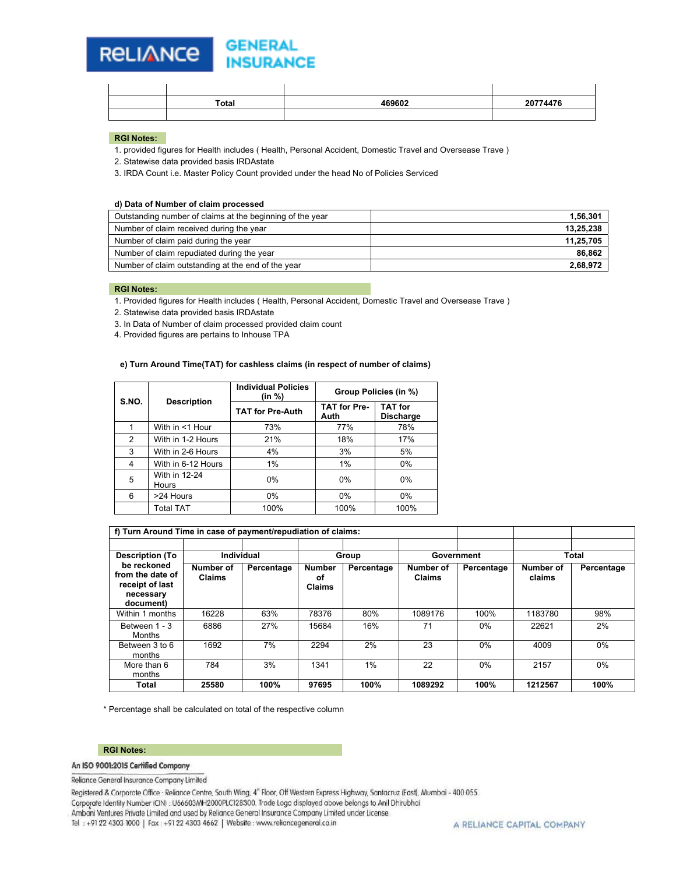#### **GENERAL RELIANCE INSURANCE**

| Total | 469602 | 20774476<br>. . |
|-------|--------|-----------------|
|       |        |                 |

#### **RGI Notes:**

1. provided figures for Health includes ( Health, Personal Accident, Domestic Travel and Oversease Trave )

2. Statewise data provided basis IRDAstate

3. IRDA Count i.e. Master Policy Count provided under the head No of Policies Serviced

#### **d) Data of Number of claim processed**

| Outstanding number of claims at the beginning of the year | 1,56,301  |
|-----------------------------------------------------------|-----------|
| Number of claim received during the year                  | 13,25,238 |
| Number of claim paid during the year                      | 11,25,705 |
| Number of claim repudiated during the year                | 86,862    |
| Number of claim outstanding at the end of the year        | 2,68,972  |

### **RGI Notes:**

1. Provided figures for Health includes ( Health, Personal Accident, Domestic Travel and Oversease Trave )

2. Statewise data provided basis IRDAstate

3. In Data of Number of claim processed provided claim count

4. Provided figures are pertains to Inhouse TPA

#### **e) Turn Around Time(TAT) for cashless claims (in respect of number of claims)**

| S.NO. | <b>Description</b>     | <b>Individual Policies</b><br>(in %) | Group Policies (in %)       |                                    |
|-------|------------------------|--------------------------------------|-----------------------------|------------------------------------|
|       |                        | <b>TAT for Pre-Auth</b>              | <b>TAT for Pre-</b><br>Auth | <b>TAT</b> for<br><b>Discharge</b> |
|       | With in <1 Hour        | 73%                                  | 77%                         | 78%                                |
| 2     | With in 1-2 Hours      | 21%                                  | 18%                         | 17%                                |
| 3     | With in 2-6 Hours      | 4%                                   | 3%                          | 5%                                 |
| 4     | With in 6-12 Hours     | 1%                                   | 1%                          | 0%                                 |
| 5     | With in 12-24<br>Hours | 0%                                   | $0\%$                       | 0%                                 |
| 6     | >24 Hours              | $0\%$                                | $0\%$                       | 0%                                 |
|       | <b>Total TAT</b>       | 100%                                 | 100%                        | 100%                               |

|                                                                              | f) Turn Around Time in case of payment/repudiation of claims: |            |                                      |            |                     |            |                     |            |
|------------------------------------------------------------------------------|---------------------------------------------------------------|------------|--------------------------------------|------------|---------------------|------------|---------------------|------------|
|                                                                              |                                                               |            |                                      |            |                     |            |                     |            |
| <b>Description (To</b>                                                       | Individual                                                    |            | Group                                |            | Government          |            | <b>Total</b>        |            |
| be reckoned<br>from the date of<br>receipt of last<br>necessary<br>document) | Number of<br>Claims                                           | Percentage | <b>Number</b><br>οf<br><b>Claims</b> | Percentage | Number of<br>Claims | Percentage | Number of<br>claims | Percentage |
| Within 1 months                                                              | 16228                                                         | 63%        | 78376                                | 80%        | 1089176             | 100%       | 1183780             | 98%        |
| Between 1 - 3<br>Months                                                      | 6886                                                          | 27%        | 15684                                | 16%        | 71                  | $0\%$      | 22621               | 2%         |
| Between 3 to 6<br>months                                                     | 1692                                                          | 7%         | 2294                                 | 2%         | 23                  | $0\%$      | 4009                | $0\%$      |
| More than 6<br>months                                                        | 784                                                           | 3%         | 1341                                 | 1%         | 22                  | $0\%$      | 2157                | 0%         |
| Total                                                                        | 25580                                                         | 100%       | 97695                                | 100%       | 1089292             | 100%       | 1212567             | 100%       |

\* Percentage shall be calculated on total of the respective column

#### **RGI Notes:**

## An ISO 9001:2015 Certified Company

## Reliance General Insurance Company Limited

Registered & Corporate Office : Reliance Centre, South Wing, 4<sup>®</sup> Floor, Off Western Express Highway, Santacruz (East), Mumbai - 400 055.

Corporate Identity Number (CIN) : U66603MH2000PLC128300. Trade Logo displayed above belongs to Anil Dhirubhai

Ambani Ventures Private Limited and used by Reliance General Insurance Company Limited under License.

Tel: +91 22 4303 1000 | Fax: +91 22 4303 4662 | Website: www.reliancegeneral.co.in